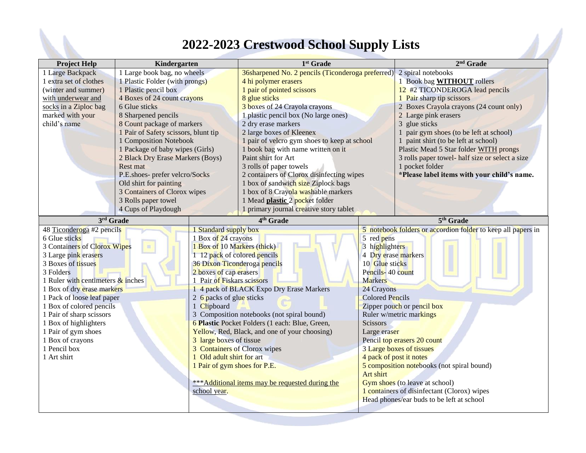## **2022-2023 Crestwood School Supply Lists**

| 2022-2023 Crestwood School Supply Lists                                                                                                                                                                                                                                                                                                                                                              |                                                                                                                                                                                                                                                                                                                                                                                                                                                                                           |                                                                                                                                                                                                                                                                                                                                                                                        |                                                                                                                                                                                                                                                                                                                                                                                                                                                                                                                                                                                                      |                                                                                                                                                                                       |                                                                                                                                                                                                                                                                                                                                                                                                                                                              |  |  |
|------------------------------------------------------------------------------------------------------------------------------------------------------------------------------------------------------------------------------------------------------------------------------------------------------------------------------------------------------------------------------------------------------|-------------------------------------------------------------------------------------------------------------------------------------------------------------------------------------------------------------------------------------------------------------------------------------------------------------------------------------------------------------------------------------------------------------------------------------------------------------------------------------------|----------------------------------------------------------------------------------------------------------------------------------------------------------------------------------------------------------------------------------------------------------------------------------------------------------------------------------------------------------------------------------------|------------------------------------------------------------------------------------------------------------------------------------------------------------------------------------------------------------------------------------------------------------------------------------------------------------------------------------------------------------------------------------------------------------------------------------------------------------------------------------------------------------------------------------------------------------------------------------------------------|---------------------------------------------------------------------------------------------------------------------------------------------------------------------------------------|--------------------------------------------------------------------------------------------------------------------------------------------------------------------------------------------------------------------------------------------------------------------------------------------------------------------------------------------------------------------------------------------------------------------------------------------------------------|--|--|
| <b>Project Help</b>                                                                                                                                                                                                                                                                                                                                                                                  | Kindergarten                                                                                                                                                                                                                                                                                                                                                                                                                                                                              |                                                                                                                                                                                                                                                                                                                                                                                        | $1st$ Grade                                                                                                                                                                                                                                                                                                                                                                                                                                                                                                                                                                                          |                                                                                                                                                                                       | $2nd$ Grade                                                                                                                                                                                                                                                                                                                                                                                                                                                  |  |  |
| 1 Large Backpack<br>1 extra set of clothes<br>(winter and summer)<br>with underwear and<br>socks in a Ziploc bag<br>marked with your<br>child's name                                                                                                                                                                                                                                                 | 1 Large book bag, no wheels<br>1 Plastic Folder (with prongs)<br>1 Plastic pencil box<br>4 Boxes of 24 count crayons<br>6 Glue sticks<br>8 Sharpened pencils<br>8 Count package of markers<br>1 Pair of Safety scissors, blunt tip<br>1 Composition Notebook<br>1 Package of baby wipes (Girls)<br>2 Black Dry Erase Markers (Boys)<br>Rest mat<br>P.E.shoes- prefer velcro/Socks<br>Old shirt for painting<br>3 Containers of Clorox wipes<br>3 Rolls paper towel<br>4 Cups of Playdough |                                                                                                                                                                                                                                                                                                                                                                                        | 36sharpened No. 2 pencils (Ticonderoga preferred)<br>4 hi polymer erasers<br>1 pair of pointed scissors<br>8 glue sticks<br>3 boxes of 24 Crayola crayons<br>1 plastic pencil box (No large ones)<br>2 dry erase markers<br>2 large boxes of Kleenex<br>1 pair of velcro gym shoes to keep at school<br>1 book bag with name written on it<br>Paint shirt for Art<br>3 rolls of paper towels<br>2 containers of Clorox disinfecting wipes<br>1 box of sandwich size Ziplock bags<br>1 box of 8 Crayola washable markers<br>1 Mead plastic 2 pocket folder<br>1 primary journal creative story tablet |                                                                                                                                                                                       | 2 spiral notebooks<br>1 Book bag <b>WITHOUT</b> rollers<br>12 #2 TICONDEROGA lead pencils<br>1 Pair sharp tip scissors<br>2 Boxes Crayola crayons (24 count only)<br>2 Large pink erasers<br>3 glue sticks<br>1 pair gym shoes (to be left at school)<br>1 paint shirt (to be left at school)<br>Plastic Mead 5 Star folder WITH prongs<br>3 rolls paper towel- half size or select a size<br>1 pocket folder<br>*Please label items with your child's name. |  |  |
| $3rd$ Grade                                                                                                                                                                                                                                                                                                                                                                                          |                                                                                                                                                                                                                                                                                                                                                                                                                                                                                           |                                                                                                                                                                                                                                                                                                                                                                                        | 4 <sup>th</sup> Grade                                                                                                                                                                                                                                                                                                                                                                                                                                                                                                                                                                                |                                                                                                                                                                                       | $5th$ Grade                                                                                                                                                                                                                                                                                                                                                                                                                                                  |  |  |
| 48 Ticonderoga #2 pencils<br>6 Glue sticks<br>3 Containers of Clorox Wipes<br>3 Large pink erasers<br>3 Boxes of tissues<br>3 Folders<br>1 Ruler with centimeters $\&$ inches<br>1 Box of dry erase markers<br>1 Pack of loose leaf paper<br>1 Box of colored pencils<br>1 Pair of sharp scissors<br>1 Box of highlighters<br>1 Pair of gym shoes<br>1 Box of crayons<br>1 Pencil box<br>1 Art shirt | 面                                                                                                                                                                                                                                                                                                                                                                                                                                                                                         | 1 Standard supply box<br>1 Box of 24 crayons<br>1 Box of 10 Markers (thick)<br>1 12 pack of colored pencils<br>36 Dixon Ticonderoga pencils<br>2 boxes of cap erasers<br>1 Pair of Fiskars scissors<br>2 6 packs of glue sticks<br>1 Clipboard<br>3 large boxes of tissue<br>3 Containers of Clorox wipes<br>1 Old adult shirt for art<br>1 Pair of gym shoes for P.E.<br>school year. | 1 4 pack of BLACK Expo Dry Erase Markers<br>3 Composition notebooks (not spiral bound)<br>6 Plastic Pocket Folders (1 each: Blue, Green,<br>Yellow, Red, Black, and one of your choosing)<br>***Additional items may be requested during the                                                                                                                                                                                                                                                                                                                                                         | 5 red pens<br>3 highlighters<br>4 Dry erase markers<br>10 Glue sticks<br>Pencils-40 count<br>Markers<br>24 Crayons<br><b>Colored Pencils</b><br>Scissors<br>Large eraser<br>Art shirt | 5 notebook folders or accordion folder to keep all papers in<br>Zipper pouch or pencil box<br>Ruler w/metric markings<br>Pencil top erasers 20 count<br><b>3 Large boxes of tissues</b><br>4 pack of post it notes<br>5 composition notebooks (not spiral bound)<br>Gym shoes (to leave at school)<br>1 containers of disinfectant (Clorox) wipes<br>Head phones/ear buds to be left at school                                                               |  |  |